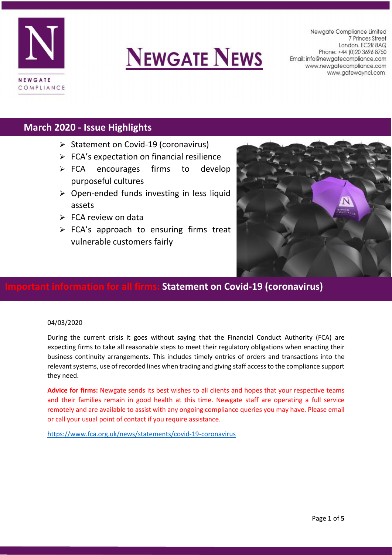



Newaate Compliance Limited 7 Princes Street London. EC2R 8AQ Phone: +44 (0) 20 3696 8750 Email: info@newgatecompliance.com www.newgatecompliance.com www.gatewayncl.com

## **March 2020 - Issue Highlights**

- $\triangleright$  Statement on Covid-19 (coronavirus)
- $\triangleright$  FCA's expectation on financial resilience
- $\triangleright$  FCA encourages firms to develop purposeful cultures
- $\triangleright$  Open-ended funds investing in less liquid assets
- $\triangleright$  FCA review on data
- > FCA's approach to ensuring firms treat vulnerable customers fairly



### **Important information for all firms: Statement on Covid-19 (coronavirus)**

#### 04/03/2020

During the current crisis it goes without saying that the Financial Conduct Authority (FCA) are expecting firms to take all reasonable steps to meet their regulatory obligations when enacting their business continuity arrangements. This includes timely entries of orders and transactions into the relevant systems, use of recorded lines when trading and giving staff access to the compliance support they need.

**Advice for firms:** Newgate sends its best wishes to all clients and hopes that your respective teams and their families remain in good health at this time. Newgate staff are operating a full service remotely and are available to assist with any ongoing compliance queries you may have. Please email or call your usual point of contact if you require assistance.

<https://www.fca.org.uk/news/statements/covid-19-coronavirus>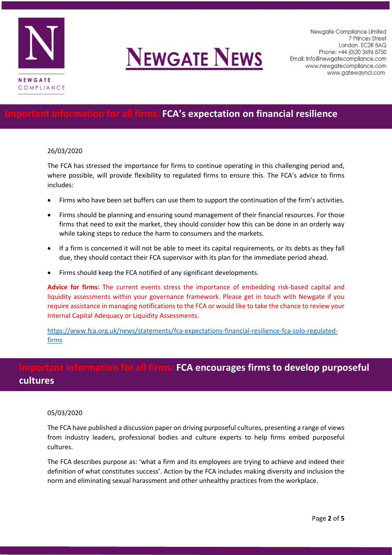

# **NEWGATE NEWS**

Newgate Compliance Limited 7 Princes Street London. EC2R 8AQ Phone: +44 (0) 20 3696 8750 Email: info@newgatecompliance.com www.newgatecompliance.com www.gatewayncl.com

## **Informition for all firms: FCA's expectation on financial resilience**

#### 26/03/2020

The FCA has stressed the importance for firms to continue operating in this challenging period and, where possible, will provide flexibility to regulated firms to ensure this. The FCA's advice to firms includes:

- Firms who have been set buffers can use them to support the continuation of the firm's activities.
- Firms should be planning and ensuring sound management of their financial resources. For those firms that need to exit the market, they should consider how this can be done in an orderly way while taking steps to reduce the harm to consumers and the markets.
- If a firm is concerned it will not be able to meet its capital requirements, or its debts as they fall due, they should contact their FCA supervisor with its plan for the immediate period ahead.
- Firms should keep the FCA notified of any significant developments.

**Advice for firms:** The current events stress the importance of embedding risk-based capital and liquidity assessments within your governance framework. Please get in touch with Newgate if you require assistance in managing notifications to the FCA or would like to take the chance to review your Internal Capital Adequacy or Liquidity Assessments.

[https://www.fca.org.uk/news/statements/fca-expectations-financial-resilience-fca-solo-regulated](https://www.fca.org.uk/news/statements/fca-expectations-financial-resilience-fca-solo-regulated-firms)[firms](https://www.fca.org.uk/news/statements/fca-expectations-financial-resilience-fca-solo-regulated-firms)

## **Information for all firms: FCA encourages firms to develop purposeful cultures**

#### 05/03/2020

The FCA have published a discussion paper on driving purposeful cultures, presenting a range of views from industry leaders, professional bodies and culture experts to help firms embed purposeful cultures.

The FCA describes purpose as: 'what a firm and its employees are trying to achieve and indeed their definition of what constitutes success'. Action by the FCA includes making diversity and inclusion the norm and eliminating sexual harassment and other unhealthy practices from the workplace.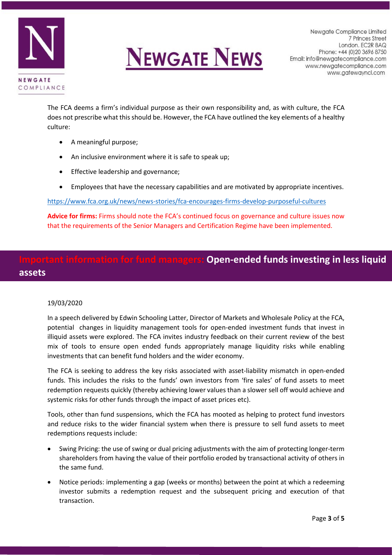



Newgate Compliance Limited 7 Princes Street London. EC2R 8AQ Phone: +44 (0) 20 3696 8750 Email: info@newgatecompliance.com www.newgatecompliance.com www.gatewayncl.com

The FCA deems a firm's individual purpose as their own responsibility and, as with culture, the FCA does not prescribe what this should be. However, the FCA have outlined the key elements of a healthy culture:

- A meaningful purpose;
- An inclusive environment where it is safe to speak up:
- Effective leadership and governance;
- Employees that have the necessary capabilities and are motivated by appropriate incentives.

<https://www.fca.org.uk/news/news-stories/fca-encourages-firms-develop-purposeful-cultures>

**Advice for firms:** Firms should note the FCA's continued focus on governance and culture issues now that the requirements of the Senior Managers and Certification Regime have been implemented.

## **Ion for fund managers: Open-ended funds investing in less liquid assets**

#### 19/03/2020

In a speech delivered by Edwin Schooling Latter, Director of Markets and Wholesale Policy at the FCA, potential changes in liquidity management tools for open-ended investment funds that invest in illiquid assets were explored. The FCA invites industry feedback on their current review of the best mix of tools to ensure open ended funds appropriately manage liquidity risks while enabling investments that can benefit fund holders and the wider economy.

The FCA is seeking to address the key risks associated with asset-liability mismatch in open-ended funds. This includes the risks to the funds' own investors from 'fire sales' of fund assets to meet redemption requests quickly (thereby achieving lower values than a slower sell off would achieve and systemic risks for other funds through the impact of asset prices etc).

Tools, other than fund suspensions, which the FCA has mooted as helping to protect fund investors and reduce risks to the wider financial system when there is pressure to sell fund assets to meet redemptions requests include:

- Swing Pricing: the use of swing or dual pricing adjustments with the aim of protecting longer-term shareholders from having the value of their portfolio eroded by transactional activity of others in the same fund.
- Notice periods: implementing a gap (weeks or months) between the point at which a redeeming investor submits a redemption request and the subsequent pricing and execution of that transaction.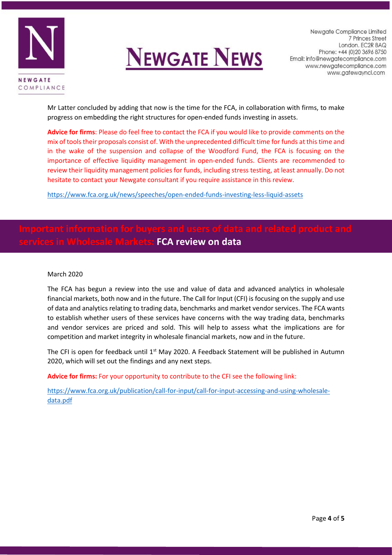



Mr Latter concluded by adding that now is the time for the FCA, in collaboration with firms, to make progress on embedding the right structures for open-ended funds investing in assets.

**Advice for firms**: Please do feel free to contact the FCA if you would like to provide comments on the mix of tools their proposals consist of. With the unprecedented difficult time for funds at this time and in the wake of the suspension and collapse of the Woodford Fund, the FCA is focusing on the importance of effective liquidity management in open-ended funds. Clients are recommended to review their liquidity management policies for funds, including stress testing, at least annually. Do not hesitate to contact your Newgate consultant if you require assistance in this review.

<https://www.fca.org.uk/news/speeches/open-ended-funds-investing-less-liquid-assets>

## **Markets: FCA review on data**

#### March 2020

The FCA has begun a review into the use and value of data and advanced analytics in wholesale financial markets, both now and in the future. The Call for Input (CFI) is focusing on the supply and use of data and analytics relating to trading data, benchmarks and market vendor services. The FCA wants to establish whether users of these services have concerns with the way trading data, benchmarks and vendor services are priced and sold. This will help to assess what the implications are for competition and market integrity in wholesale financial markets, now and in the future.

The CFI is open for feedback until 1<sup>st</sup> May 2020. A Feedback Statement will be published in Autumn 2020, which will set out the findings and any next steps.

**Advice for firms:** For your opportunity to contribute to the CFI see the following link:

[https://www.fca.org.uk/publication/call-for-input/call-for-input-accessing-and-using-wholesale](https://www.fca.org.uk/publication/call-for-input/call-for-input-accessing-and-using-wholesale-data.pdf)[data.pdf](https://www.fca.org.uk/publication/call-for-input/call-for-input-accessing-and-using-wholesale-data.pdf)